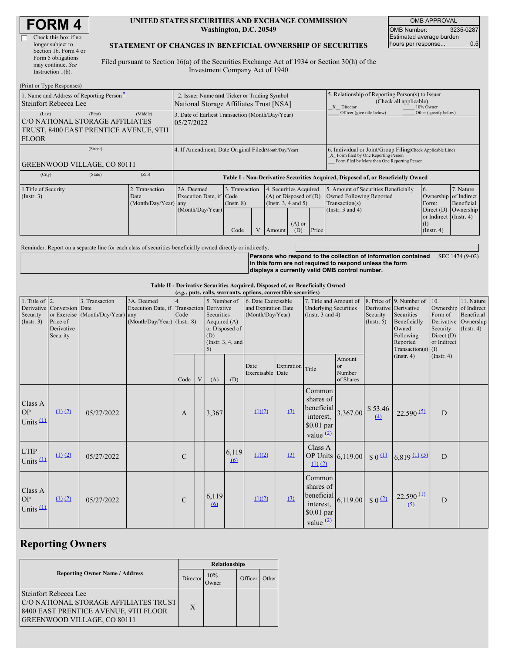| <b>FORM4</b> |
|--------------|
|--------------|

#### **UNITED STATES SECURITIES AND EXCHANGE COMMISSION Washington, D.C. 20549**

OMB APPROVAL OMB Number: 3235-0287 Estimated average burden hours per response... 0.5

#### **STATEMENT OF CHANGES IN BENEFICIAL OWNERSHIP OF SECURITIES**

Filed pursuant to Section 16(a) of the Securities Exchange Act of 1934 or Section 30(h) of the Investment Company Act of 1940

| (Print or Type Responses)                                                                          |                                                                                                                                                                                                              |       |                                                                                  |                                                                                    |                                                    |                         |                                                                                                       |                       |                                                                                                                                                    |                                                                |           |  |
|----------------------------------------------------------------------------------------------------|--------------------------------------------------------------------------------------------------------------------------------------------------------------------------------------------------------------|-------|----------------------------------------------------------------------------------|------------------------------------------------------------------------------------|----------------------------------------------------|-------------------------|-------------------------------------------------------------------------------------------------------|-----------------------|----------------------------------------------------------------------------------------------------------------------------------------------------|----------------------------------------------------------------|-----------|--|
| 1. Name and Address of Reporting Person-<br>Steinfort Rebecca Lee                                  | 2. Issuer Name and Ticker or Trading Symbol<br>National Storage Affiliates Trust [NSA]                                                                                                                       |       |                                                                                  |                                                                                    |                                                    |                         | 5. Relationship of Reporting Person(s) to Issuer<br>(Check all applicable)<br>10% Owner<br>X Director |                       |                                                                                                                                                    |                                                                |           |  |
| (Last)<br>C/O NATIONAL STORAGE AFFILIATES<br>TRUST, 8400 EAST PRENTICE AVENUE, 9TH<br><b>FLOOR</b> | 3. Date of Earliest Transaction (Month/Day/Year)<br>05/27/2022                                                                                                                                               |       |                                                                                  |                                                                                    |                                                    |                         | Officer (give title below)                                                                            | Other (specify below) |                                                                                                                                                    |                                                                |           |  |
| (Street)<br><b>GREENWOOD VILLAGE, CO 80111</b>                                                     |                                                                                                                                                                                                              |       | 4. If Amendment, Date Original Filed Month/Day/Year)                             |                                                                                    |                                                    |                         |                                                                                                       |                       | 6. Individual or Joint/Group Filing(Check Applicable Line)<br>X Form filed by One Reporting Person<br>Form filed by More than One Reporting Person |                                                                |           |  |
| (City)                                                                                             | (State)                                                                                                                                                                                                      | (Zip) | Table I - Non-Derivative Securities Acquired, Disposed of, or Beneficially Owned |                                                                                    |                                                    |                         |                                                                                                       |                       |                                                                                                                                                    |                                                                |           |  |
| 1. Title of Security<br>$($ Instr. 3 $)$                                                           | 3. Transaction<br>2. Transaction<br>2A. Deemed<br>4. Securities Acquired<br>$(A)$ or Disposed of $(D)$<br>Execution Date, if Code<br>Date<br>(Insert. 3, 4 and 5)<br>(Month/Day/Year) any<br>$($ Instr. $8)$ |       |                                                                                  | 5. Amount of Securities Beneficially<br>Owned Following Reported<br>Transaction(s) | $\overline{6}$ .<br>Ownership of Indirect<br>Form: | 7. Nature<br>Beneficial |                                                                                                       |                       |                                                                                                                                                    |                                                                |           |  |
|                                                                                                    |                                                                                                                                                                                                              |       | (Month/Day/Year)                                                                 | Code                                                                               |                                                    | Amount                  | $(A)$ or<br>(D)                                                                                       | Price                 | (Instr. $3$ and $4$ )                                                                                                                              | Direct $(D)$<br>or Indirect (Instr. 4)<br>(I)<br>$($ Instr. 4) | Ownership |  |

Reminder: Report on a separate line for each class of securities beneficially owned directly or indirectly.

**Persons who respond to the collection of information contained** SEC 1474 (9-02) **in this form are not required to respond unless the form displays a currently valid OMB control number.**

**Table II - Derivative Securities Acquired, Disposed of, or Beneficially Owned**

|                                                  | (e.g., puts, calls, warrants, options, convertible securities)   |                                                    |                                                                                          |               |   |                                                           |                                        |                                                                |                  |                                                                                 |                                     |                                                  |                                                                                                                  |                                                                          |                                                                                    |
|--------------------------------------------------|------------------------------------------------------------------|----------------------------------------------------|------------------------------------------------------------------------------------------|---------------|---|-----------------------------------------------------------|----------------------------------------|----------------------------------------------------------------|------------------|---------------------------------------------------------------------------------|-------------------------------------|--------------------------------------------------|------------------------------------------------------------------------------------------------------------------|--------------------------------------------------------------------------|------------------------------------------------------------------------------------|
| 1. Title of $\vert$ 2.<br>Security<br>(Instr. 3) | Derivative Conversion Date<br>Price of<br>Derivative<br>Security | 3. Transaction<br>or Exercise (Month/Day/Year) any | 3A. Deemed<br>Execution Date, if Transaction Derivative<br>$(Month/Day/Year)$ (Instr. 8) | Code          |   | 5. Number of<br>Securities<br>Acquired $(A)$<br>(D)<br>5) | or Disposed of<br>(Instr. $3, 4$ , and | 6. Date Exercisable<br>and Expiration Date<br>(Month/Day/Year) |                  | 7. Title and Amount of<br><b>Underlying Securities</b><br>(Instr. $3$ and $4$ ) |                                     | Derivative Derivative<br>Security<br>(Insert. 5) | 8. Price of 9. Number of<br>Securities<br>Beneficially<br>Owned<br>Following<br>Reported<br>Transaction(s) $(I)$ | 10.<br>Form of<br>Derivative<br>Security:<br>Direct $(D)$<br>or Indirect | 11. Nature<br>Ownership of Indirect<br>Beneficial<br>Ownership<br>$($ Instr. 4 $)$ |
|                                                  |                                                                  |                                                    |                                                                                          | Code          | V | (A)                                                       | (D)                                    | Date<br>Exercisable Date                                       | Expiration       | Title                                                                           | Amount<br>or<br>Number<br>of Shares |                                                  | $($ Instr. 4 $)$                                                                                                 | (Insert. 4)                                                              |                                                                                    |
| Class A<br><b>OP</b><br>Units $(1)$              | $(1)$ $(2)$                                                      | 05/27/2022                                         |                                                                                          | A             |   | 3,367                                                     |                                        | (1)(2)                                                         | (3)              | Common<br>shares of<br>beneficial<br>interest,<br>$$0.01$ par<br>value $(2)$    |                                     | $3,367.00$ \$ 53.46<br>(4)                       | $22,590$ (5)                                                                                                     | D                                                                        |                                                                                    |
| <b>LTIP</b><br>Units $(1)$                       | $(1)$ $(2)$                                                      | 05/27/2022                                         |                                                                                          | C             |   |                                                           | 6,119<br>$\omega$                      | (1)(2)                                                         | $\left(3\right)$ | Class A<br>OP Units 6,119.00<br>$(1)$ $(2)$                                     |                                     | $\frac{1}{2}$ 0 $\frac{11}{2}$                   | $6,819$ (1) (5)                                                                                                  | D                                                                        |                                                                                    |
| Class A<br><b>OP</b><br>Units $(1)$              | (1) (2)                                                          | 05/27/2022                                         |                                                                                          | $\mathcal{C}$ |   | 6,119<br>6                                                |                                        | (1)(2)                                                         | (3)              | Common<br>shares of<br>beneficial<br>interest,<br>$$0.01$ par<br>value $(2)$    | 6,119.00 \$ $0^{2}$                 |                                                  | $22,590 \, 11$<br>$\overline{5}$                                                                                 | D                                                                        |                                                                                    |

# **Reporting Owners**

|                                                                                                                                                     | <b>Relationships</b> |                     |         |       |  |  |  |
|-----------------------------------------------------------------------------------------------------------------------------------------------------|----------------------|---------------------|---------|-------|--|--|--|
| <b>Reporting Owner Name / Address</b>                                                                                                               | Director             | 10%<br><b>Jwner</b> | Officer | Other |  |  |  |
| <b>Steinfort Rebecca Lee</b><br>C/O NATIONAL STORAGE AFFILIATES TRUST<br>8400 EAST PRENTICE AVENUE, 9TH FLOOR<br><b>GREENWOOD VILLAGE, CO 80111</b> | X                    |                     |         |       |  |  |  |